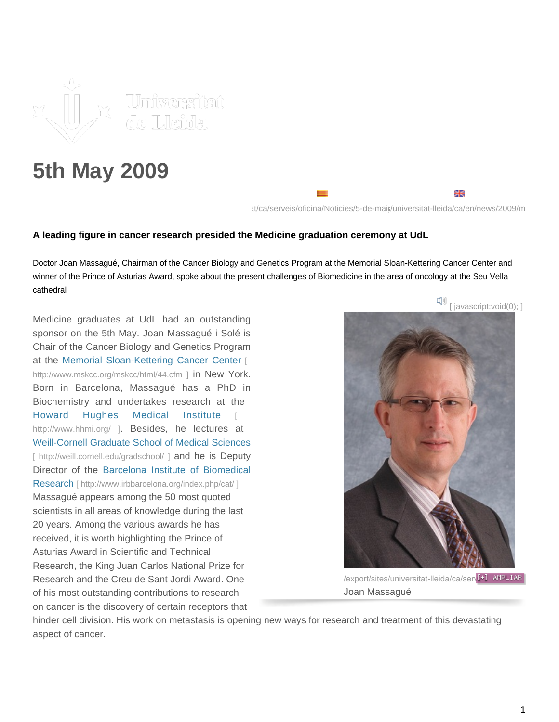

## **5th May 2009**

https://ca/serveis/oficina/Noticies/5-de-mais/universitat-lleida/ca/en/news/2009/m

₩

## **A leading figure in cancer research presided the Medicine graduation ceremony at UdL**

Doctor Joan Massagué, Chairman of the Cancer Biology and Genetics Program at the Memorial Sloan-Kettering Cancer Center and winner of the Prince of Asturias Award, spoke about the present challenges of Biomedicine in the area of oncology at the Seu Vella cathedral

Medicine graduates at UdL had an outstanding sponsor on the 5th May. Joan Massagué i Solé is Chair of the Cancer Biology and Genetics Program at the [Memorial Sloan-Kettering Cancer Center](http://www.mskcc.org/mskcc/html/44.cfm) [\[](http://www.mskcc.org/mskcc/html/44.cfm)  [http://www.mskcc.org/mskcc/html/44.cfm \]](http://www.mskcc.org/mskcc/html/44.cfm) in New York. Born in Barcelona, Massagué has a PhD in Biochemistry and undertakes research at the [Howard Hughes Medical Institute](http://www.hhmi.org/)[ <http://www.hhmi.org/>]. Besides, he lectures at [Weill-Cornell Graduate School of Medical Sciences](http://weill.cornell.edu/gradschool/) [\[ http://weill.cornell.edu/gradschool/ \]](http://weill.cornell.edu/gradschool/) and he is Deputy Director of the [Barcelona Institute of Biomedic](http://www.irbbarcelona.org/index.php/cat/)al Research [\[ http://www.irbbarcelona.org/index.php/cat/ \]](http://www.irbbarcelona.org/index.php/cat/). Massagué appears among the 50 most quoted scientists in all areas of knowledge during the last 20 years. Among the various awards he has received, it is worth highlighting the Prince of Asturias Award in Scientific and Technical Research, the King Juan Carlos National Prize for Research and the Creu de Sant Jordi Award. One of his most outstanding contributions to research on cancer is the discovery of certain receptors that



/export/sites/universitat-lleida/ca/serv<sup>[+]</sup> AMPLIAR Joan Massagué

hinder cell division. His work on metastasis is opening new ways for research and treatment of this devastating aspect of cancer.